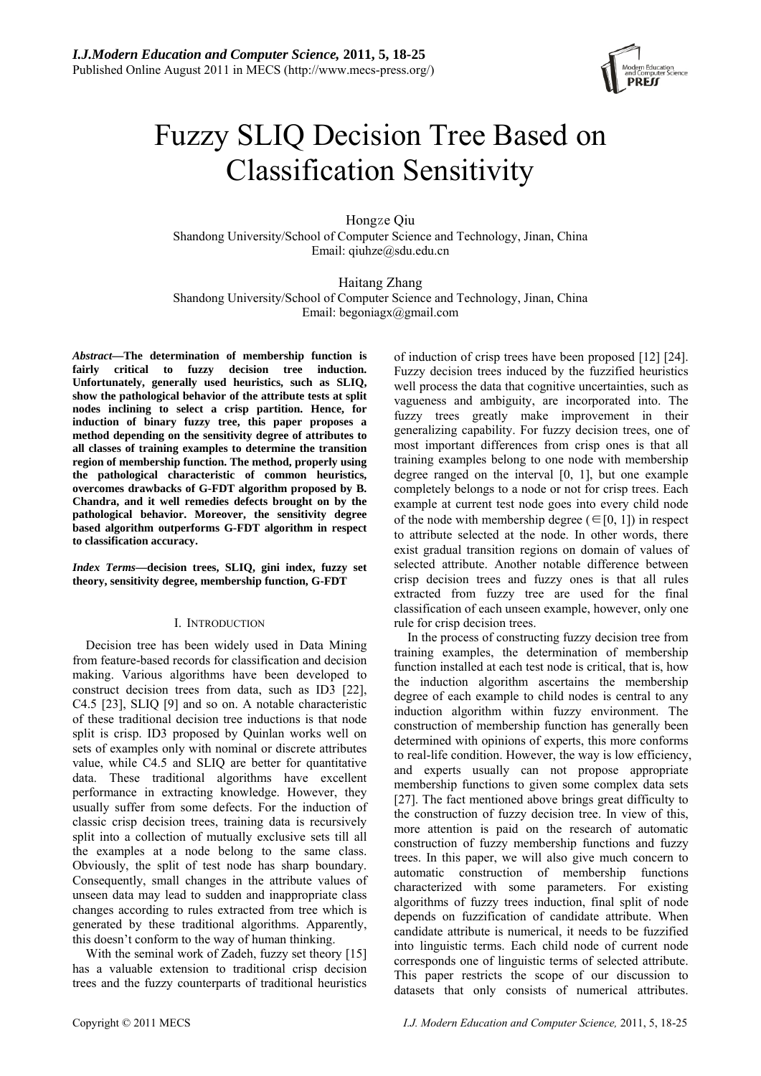

# Fuzzy SLIQ Decision Tree Based on Classification Sensitivity

Hongze Qiu Shandong University/School of Computer Science and Technology, Jinan, China Email: qiuhze@sdu.edu.cn

Haitang Zhang Shandong University/School of Computer Science and Technology, Jinan, China Email: begoniagx@gmail.com

*Abstract***—The determination of membership function is fairly critical to fuzzy decision tree induction. Unfortunately, generally used heuristics, such as SLIQ, show the pathological behavior of the attribute tests at split nodes inclining to select a crisp partition. Hence, for induction of binary fuzzy tree, this paper proposes a method depending on the sensitivity degree of attributes to all classes of training examples to determine the transition region of membership function. The method, properly using the pathological characteristic of common heuristics, overcomes drawbacks of G-FDT algorithm proposed by B. Chandra, and it well remedies defects brought on by the pathological behavior. Moreover, the sensitivity degree based algorithm outperforms G-FDT algorithm in respect to classification accuracy.** 

*Index Terms***—decision trees, SLIQ, gini index, fuzzy set theory, sensitivity degree, membership function, G-FDT** 

## I. INTRODUCTION

Decision tree has been widely used in Data Mining from feature-based records for classification and decision making. Various algorithms have been developed to construct decision trees from data, such as ID3 [22], C4.5 [23], SLIQ [9] and so on. A notable characteristic of these traditional decision tree inductions is that node split is crisp. ID3 proposed by Quinlan works well on sets of examples only with nominal or discrete attributes value, while C4.5 and SLIQ are better for quantitative data. These traditional algorithms have excellent performance in extracting knowledge. However, they usually suffer from some defects. For the induction of classic crisp decision trees, training data is recursively split into a collection of mutually exclusive sets till all the examples at a node belong to the same class. Obviously, the split of test node has sharp boundary. Consequently, small changes in the attribute values of unseen data may lead to sudden and inappropriate class changes according to rules extracted from tree which is generated by these traditional algorithms. Apparently, this doesn't conform to the way of human thinking.

With the seminal work of Zadeh, fuzzy set theory [15] has a valuable extension to traditional crisp decision trees and the fuzzy counterparts of traditional heuristics of induction of crisp trees have been proposed [12] [24]. Fuzzy decision trees induced by the fuzzified heuristics well process the data that cognitive uncertainties, such as vagueness and ambiguity, are incorporated into. The fuzzy trees greatly make improvement in their generalizing capability. For fuzzy decision trees, one of most important differences from crisp ones is that all training examples belong to one node with membership degree ranged on the interval [0, 1], but one example completely belongs to a node or not for crisp trees. Each example at current test node goes into every child node of the node with membership degree ( $\in [0, 1]$ ) in respect to attribute selected at the node. In other words, there exist gradual transition regions on domain of values of selected attribute. Another notable difference between crisp decision trees and fuzzy ones is that all rules extracted from fuzzy tree are used for the final classification of each unseen example, however, only one rule for crisp decision trees.

In the process of constructing fuzzy decision tree from training examples, the determination of membership function installed at each test node is critical, that is, how the induction algorithm ascertains the membership degree of each example to child nodes is central to any induction algorithm within fuzzy environment. The construction of membership function has generally been determined with opinions of experts, this more conforms to real-life condition. However, the way is low efficiency, and experts usually can not propose appropriate membership functions to given some complex data sets [27]. The fact mentioned above brings great difficulty to the construction of fuzzy decision tree. In view of this, more attention is paid on the research of automatic construction of fuzzy membership functions and fuzzy trees. In this paper, we will also give much concern to automatic construction of membership functions characterized with some parameters. For existing algorithms of fuzzy trees induction, final split of node depends on fuzzification of candidate attribute. When candidate attribute is numerical, it needs to be fuzzified into linguistic terms. Each child node of current node corresponds one of linguistic terms of selected attribute. This paper restricts the scope of our discussion to datasets that only consists of numerical attributes.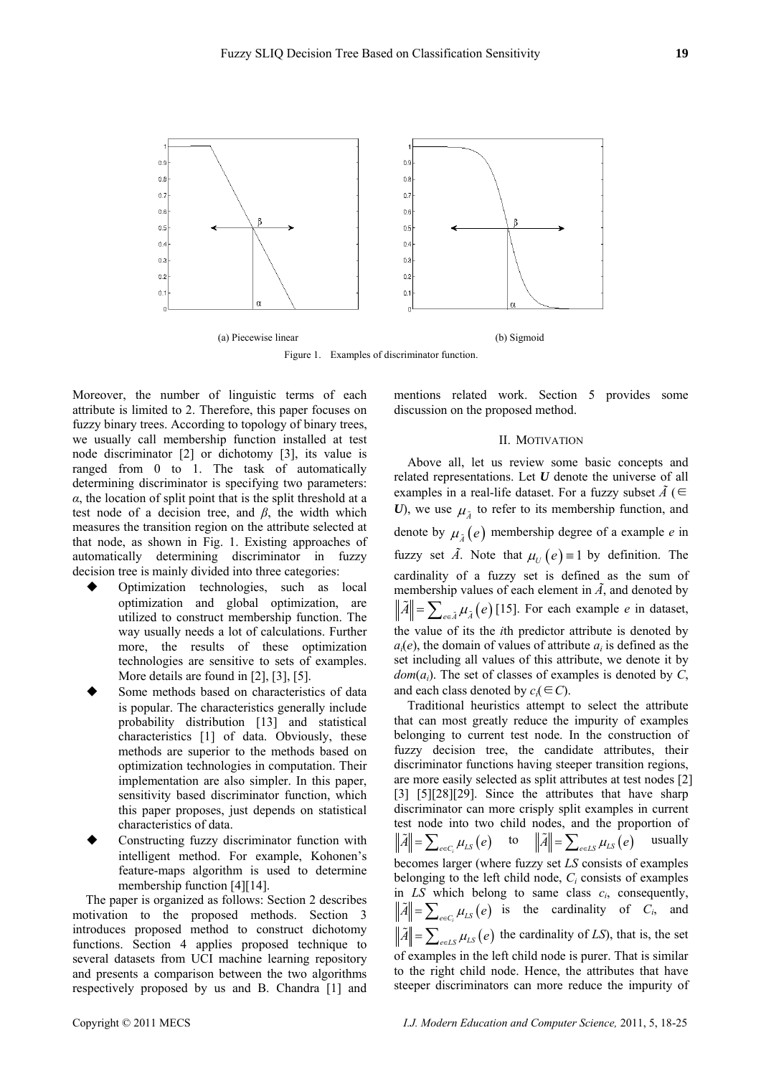

Moreover, the number of linguistic terms of each attribute is limited to 2. Therefore, this paper focuses on fuzzy binary trees. According to topology of binary trees, we usually call membership function installed at test node discriminator [2] or dichotomy [3], its value is ranged from 0 to 1. The task of automatically determining discriminator is specifying two parameters: *α*, the location of split point that is the split threshold at a test node of a decision tree, and *β*, the width which measures the transition region on the attribute selected at that node, as shown in Fig. 1. Existing approaches of automatically determining discriminator in fuzzy decision tree is mainly divided into three categories:

- Optimization technologies, such as local optimization and global optimization, are utilized to construct membership function. The way usually needs a lot of calculations. Further more, the results of these optimization technologies are sensitive to sets of examples. More details are found in [2], [3], [5].
- Some methods based on characteristics of data is popular. The characteristics generally include probability distribution [13] and statistical characteristics [1] of data. Obviously, these methods are superior to the methods based on optimization technologies in computation. Their implementation are also simpler. In this paper, sensitivity based discriminator function, which this paper proposes, just depends on statistical characteristics of data.
- Constructing fuzzy discriminator function with intelligent method. For example, Kohonen's feature-maps algorithm is used to determine membership function [4][14].

The paper is organized as follows: Section 2 describes motivation to the proposed methods. Section 3 introduces proposed method to construct dichotomy functions. Section 4 applies proposed technique to several datasets from UCI machine learning repository and presents a comparison between the two algorithms respectively proposed by us and B. Chandra [1] and mentions related work. Section 5 provides some discussion on the proposed method.

## II. MOTIVATION

Above all, let us review some basic concepts and related representations. Let *U* denote the universe of all examples in a real-life dataset. For a fuzzy subset  $\tilde{A}$  ( $\in$ *U*), we use  $\mu_{\tau}$  to refer to its membership function, and denote by  $\mu_{\tilde{i}}(e)$  membership degree of a example *e* in fuzzy set  $\tilde{A}$ . Note that  $\mu_U(e) \equiv 1$  by definition. The cardinality of a fuzzy set is defined as the sum of membership values of each element in  $\tilde{A}$ , and denoted by  $\|\tilde{A}\| = \sum_{e \in \tilde{A}} \mu_{\tilde{A}}(e)$  [15]. For each example *e* in dataset, the value of its the *i*th predictor attribute is denoted by  $a_i(e)$ , the domain of values of attribute  $a_i$  is defined as the set including all values of this attribute, we denote it by  $dom(a_i)$ . The set of classes of examples is denoted by  $C$ , and each class denoted by  $c_i \in C$ ).

Traditional heuristics attempt to select the attribute that can most greatly reduce the impurity of examples belonging to current test node. In the construction of fuzzy decision tree, the candidate attributes, their discriminator functions having steeper transition regions, are more easily selected as split attributes at test nodes [2] [3] [5][28][29]. Since the attributes that have sharp discriminator can more crisply split examples in current test node into two child nodes, and the proportion of  $\widetilde{A}$   $=$   $\sum_{e \in C_i} \mu_{LS}(e)$  to  $\|\widetilde{A}\|$   $=$   $\sum_{e \in LS} \mu_{LS}(e)$  $\|\tilde{A}\| = \sum_{e \in LS} \mu_{LS}(e)$  usually becomes larger (where fuzzy set *LS* consists of examples belonging to the left child node, *Ci* consists of examples in  $LS$  which belong to same class  $c_i$ , consequently,  $\tilde{A}$   $\|\sum_{e \in C_i} \mu_{LS}(e)$  is the cardinality of  $C_i$ , and  $\mathcal{L}||=\sum_{e\in LS}\mu_{LS}(e)$  the cardinality of *LS*), that is, the set of examples in the left child node is purer. That is similar to the right child node. Hence, the attributes that have steeper discriminators can more reduce the impurity of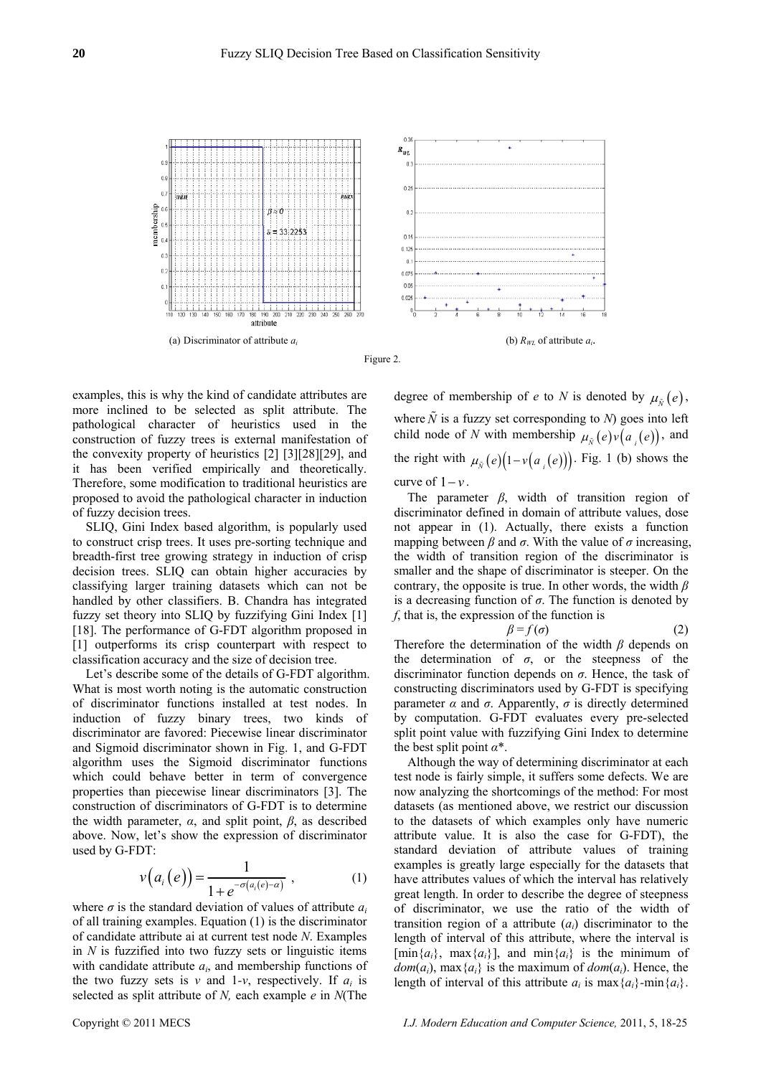

examples, this is why the kind of candidate attributes are more inclined to be selected as split attribute. The pathological character of heuristics used in the construction of fuzzy trees is external manifestation of the convexity property of heuristics [2] [3][28][29], and it has been verified empirically and theoretically. Therefore, some modification to traditional heuristics are proposed to avoid the pathological character in induction of fuzzy decision trees.

SLIQ, Gini Index based algorithm, is popularly used to construct crisp trees. It uses pre-sorting technique and breadth-first tree growing strategy in induction of crisp decision trees. SLIQ can obtain higher accuracies by classifying larger training datasets which can not be handled by other classifiers. B. Chandra has integrated fuzzy set theory into SLIQ by fuzzifying Gini Index [1] [18]. The performance of G-FDT algorithm proposed in [1] outperforms its crisp counterpart with respect to classification accuracy and the size of decision tree.

Let's describe some of the details of G-FDT algorithm. What is most worth noting is the automatic construction of discriminator functions installed at test nodes. In induction of fuzzy binary trees, two kinds of discriminator are favored: Piecewise linear discriminator and Sigmoid discriminator shown in Fig. 1, and G-FDT algorithm uses the Sigmoid discriminator functions which could behave better in term of convergence properties than piecewise linear discriminators [3]. The construction of discriminators of G-FDT is to determine the width parameter,  $\alpha$ , and split point,  $\beta$ , as described above. Now, let's show the expression of discriminator used by G-FDT:

$$
v\big(a_i\big(e\big)\big) = \frac{1}{1 + e^{-\sigma\big(a_i(e) - \alpha\big)}}\,,\tag{1}
$$

where  $\sigma$  is the standard deviation of values of attribute  $a_i$ of all training examples. Equation (1) is the discriminator of candidate attribute ai at current test node *N*. Examples in *N* is fuzzified into two fuzzy sets or linguistic items with candidate attribute  $a_i$ , and membership functions of the two fuzzy sets is  $v$  and  $1-v$ , respectively. If  $a_i$  is selected as split attribute of *N,* each example *e* in *N*(The degree of membership of *e* to *N* is denoted by  $\mu_{\tilde{N}}(e)$ , where  $\tilde{N}$  is a fuzzy set corresponding to *N*) goes into left child node of *N* with membership  $\mu_{\tilde{\nu}}(e)v(a,(e))$ , and the right with  $\mu_{\bar{N}}(e) \big(1 - \nu(a_i(e))\big)$ . Fig. 1 (b) shows the curve of  $1 - v$ .

The parameter *β*, width of transition region of discriminator defined in domain of attribute values, dose not appear in (1). Actually, there exists a function mapping between  $\beta$  and  $\sigma$ . With the value of  $\sigma$  increasing, the width of transition region of the discriminator is smaller and the shape of discriminator is steeper. On the contrary, the opposite is true. In other words, the width *β* is a decreasing function of  $\sigma$ . The function is denoted by *f*, that is, the expression of the function is

$$
\beta = f(\sigma) \tag{2}
$$

Therefore the determination of the width *β* depends on the determination of  $\sigma$ , or the steepness of the discriminator function depends on *σ*. Hence, the task of constructing discriminators used by G-FDT is specifying parameter *α* and *σ*. Apparently, *σ* is directly determined by computation. G-FDT evaluates every pre-selected split point value with fuzzifying Gini Index to determine the best split point  $\alpha^*$ .

Although the way of determining discriminator at each test node is fairly simple, it suffers some defects. We are now analyzing the shortcomings of the method: For most datasets (as mentioned above, we restrict our discussion to the datasets of which examples only have numeric attribute value. It is also the case for G-FDT), the standard deviation of attribute values of training examples is greatly large especially for the datasets that have attributes values of which the interval has relatively great length. In order to describe the degree of steepness of discriminator, we use the ratio of the width of transition region of a attribute (*ai*) discriminator to the length of interval of this attribute, where the interval is  $[\min\{a_i\}, \max\{a_i\}]$ , and  $\min\{a_i\}$  is the minimum of  $dom(a_i)$ , max $\{a_i\}$  is the maximum of  $dom(a_i)$ . Hence, the length of interval of this attribute  $a_i$  is max $\{a_i\}$ -min $\{a_i\}$ .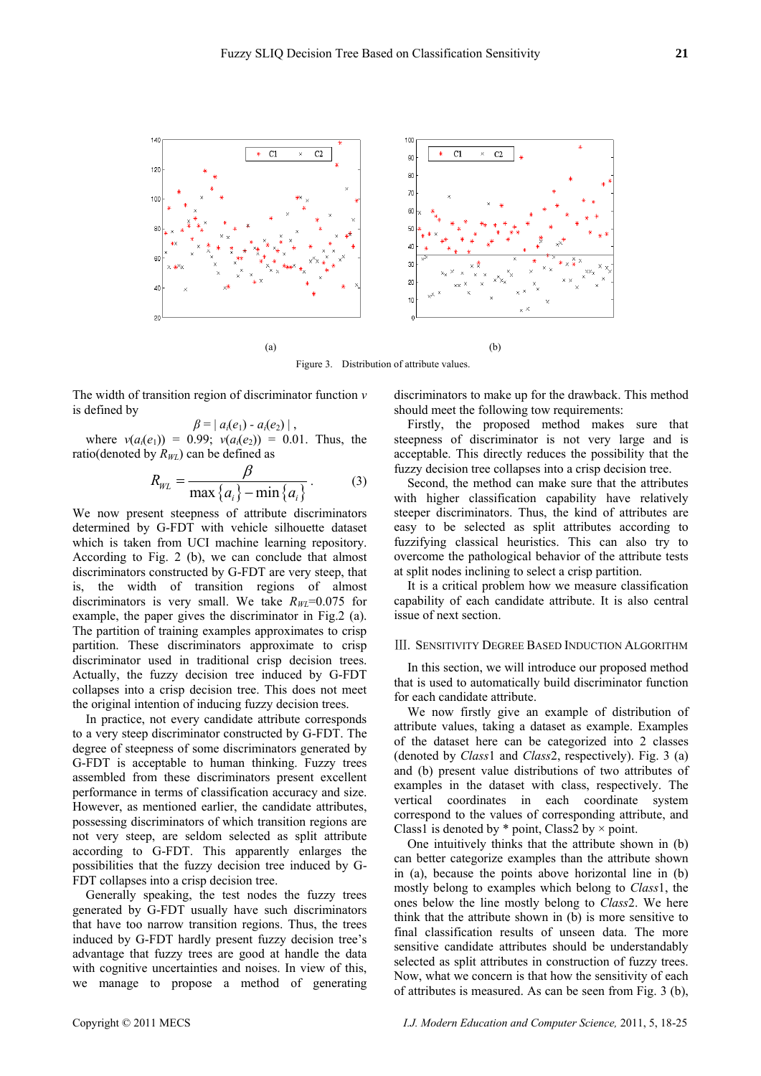

Figure 3. Distribution of attribute values.

The width of transition region of discriminator function *v* is defined by

$$
\beta = | a_i(e_1) - a_i(e_2) |,
$$

where  $v(a_i(e_1)) = 0.99$ ;  $v(a_i(e_2)) = 0.01$ . Thus, the ratio(denoted by  $R_{WL}$ ) can be defined as

$$
R_{WL} = \frac{\beta}{\max\{a_i\} - \min\{a_i\}}.
$$
 (3)

We now present steepness of attribute discriminators determined by G-FDT with vehicle silhouette dataset which is taken from UCI machine learning repository. According to Fig. 2 (b), we can conclude that almost discriminators constructed by G-FDT are very steep, that is, the width of transition regions of almost discriminators is very small. We take  $R_{WL}$ =0.075 for example, the paper gives the discriminator in Fig.2 (a). The partition of training examples approximates to crisp partition. These discriminators approximate to crisp discriminator used in traditional crisp decision trees. Actually, the fuzzy decision tree induced by G-FDT collapses into a crisp decision tree. This does not meet the original intention of inducing fuzzy decision trees.

In practice, not every candidate attribute corresponds to a very steep discriminator constructed by G-FDT. The degree of steepness of some discriminators generated by G-FDT is acceptable to human thinking. Fuzzy trees assembled from these discriminators present excellent performance in terms of classification accuracy and size. However, as mentioned earlier, the candidate attributes, possessing discriminators of which transition regions are not very steep, are seldom selected as split attribute according to G-FDT. This apparently enlarges the possibilities that the fuzzy decision tree induced by G-FDT collapses into a crisp decision tree.

Generally speaking, the test nodes the fuzzy trees generated by G-FDT usually have such discriminators that have too narrow transition regions. Thus, the trees induced by G-FDT hardly present fuzzy decision tree's advantage that fuzzy trees are good at handle the data with cognitive uncertainties and noises. In view of this, we manage to propose a method of generating discriminators to make up for the drawback. This method should meet the following tow requirements:

Firstly, the proposed method makes sure that steepness of discriminator is not very large and is acceptable. This directly reduces the possibility that the fuzzy decision tree collapses into a crisp decision tree.

Second, the method can make sure that the attributes with higher classification capability have relatively steeper discriminators. Thus, the kind of attributes are easy to be selected as split attributes according to fuzzifying classical heuristics. This can also try to overcome the pathological behavior of the attribute tests at split nodes inclining to select a crisp partition.

It is a critical problem how we measure classification capability of each candidate attribute. It is also central issue of next section.

## Ⅲ. SENSITIVITY DEGREE BASED INDUCTION ALGORITHM

In this section, we will introduce our proposed method that is used to automatically build discriminator function for each candidate attribute.

We now firstly give an example of distribution of attribute values, taking a dataset as example. Examples of the dataset here can be categorized into 2 classes (denoted by *Class*1 and *Class*2, respectively). Fig. 3 (a) and (b) present value distributions of two attributes of examples in the dataset with class, respectively. The vertical coordinates in each coordinate system correspond to the values of corresponding attribute, and Class1 is denoted by  $*$  point, Class2 by  $\times$  point.

One intuitively thinks that the attribute shown in (b) can better categorize examples than the attribute shown in (a), because the points above horizontal line in (b) mostly belong to examples which belong to *Class*1, the ones below the line mostly belong to *Class*2. We here think that the attribute shown in (b) is more sensitive to final classification results of unseen data. The more sensitive candidate attributes should be understandably selected as split attributes in construction of fuzzy trees. Now, what we concern is that how the sensitivity of each of attributes is measured. As can be seen from Fig. 3 (b),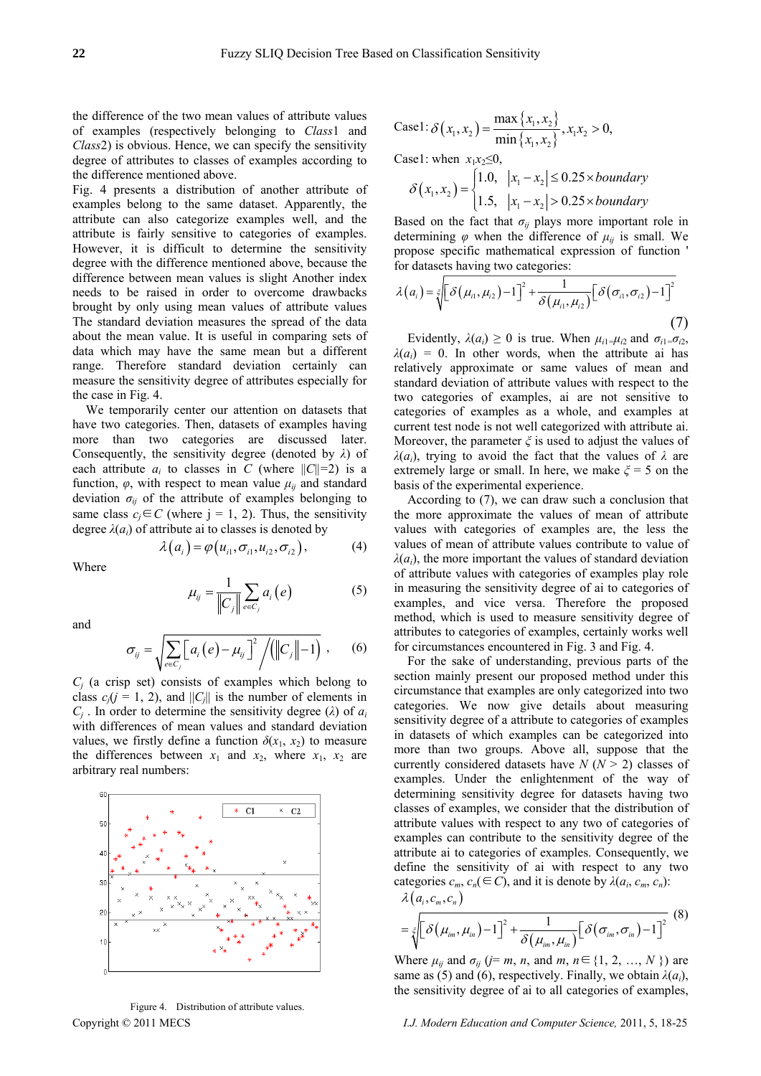the difference of the two mean values of attribute values of examples (respectively belonging to *Class*1 and *Class*2) is obvious. Hence, we can specify the sensitivity degree of attributes to classes of examples according to the difference mentioned above.

Fig. 4 presents a distribution of another attribute of examples belong to the same dataset. Apparently, the attribute can also categorize examples well, and the attribute is fairly sensitive to categories of examples. However, it is difficult to determine the sensitivity degree with the difference mentioned above, because the difference between mean values is slight Another index needs to be raised in order to overcome drawbacks brought by only using mean values of attribute values The standard deviation measures the spread of the data about the mean value. It is useful in comparing sets of data which may have the same mean but a different range. Therefore standard deviation certainly can measure the sensitivity degree of attributes especially for the case in Fig. 4.

We temporarily center our attention on datasets that have two categories. Then, datasets of examples having more than two categories are discussed later. Consequently, the sensitivity degree (denoted by *λ*) of each attribute  $a_i$  to classes in *C* (where  $||C||=2$ ) is a function,  $\varphi$ , with respect to mean value  $\mu_{ij}$  and standard deviation  $\sigma_{ij}$  of the attribute of examples belonging to same class  $c_j \in C$  (where  $j = 1, 2$ ). Thus, the sensitivity degree  $\lambda(a_i)$  of attribute ai to classes is denoted by

$$
\lambda(a_i) = \varphi(u_{i1}, \sigma_{i1}, u_{i2}, \sigma_{i2}), \qquad (4)
$$

Where

$$
\mu_{ij} = \frac{1}{\left\|C_j\right\|} \sum_{e \in C_j} a_i(e) \tag{5}
$$

and

$$
\sigma_{ij} = \sqrt{\sum_{e \in C_j} \left[ a_i(e) - \mu_{ij} \right]^2 / \left( \left\| C_j \right\| - 1 \right)} \,, \qquad (6)
$$

*Cj* (a crisp set) consists of examples which belong to class  $c_j$ ( $j = 1, 2$ ), and ||C<sub>i</sub>|| is the number of elements in *C<sub>i</sub>*. In order to determine the sensitivity degree ( $\lambda$ ) of  $a_i$ with differences of mean values and standard deviation values, we firstly define a function  $\delta(x_1, x_2)$  to measure the differences between  $x_1$  and  $x_2$ , where  $x_1$ ,  $x_2$  are arbitrary real numbers:



Figure 4. Distribution of attribute values.

Case1: 
$$
\delta(x_1, x_2) = \frac{\max\{x_1, x_2\}}{\min\{x_1, x_2\}}, x_1 x_2 > 0,
$$

Case1: when  $x_1x_2 \leq 0$ ,

$$
\delta(x_1, x_2) = \begin{cases} 1.0, & |x_1 - x_2| \le 0.25 \times boundary \\ 1.5, & |x_1 - x_2| > 0.25 \times boundary \end{cases}
$$

Based on the fact that  $\sigma_{ij}$  plays more important role in determining  $\varphi$  when the difference of  $\mu_{ii}$  is small. We propose specific mathematical expression of function ' for datasets having two categories:

$$
\lambda(a_i) = \sqrt[\varepsilon]{\left[\delta(\mu_{i1}, \mu_{i2}) - 1\right]^2 + \frac{1}{\delta(\mu_{i1}, \mu_{i2})}\left[\delta(\sigma_{i1}, \sigma_{i2}) - 1\right]^2}
$$
\n(7)

Evidently,  $\lambda(a_i) \geq 0$  is true. When  $\mu_{i1} = \mu_{i2}$  and  $\sigma_{i1} = \sigma_{i2}$ ,  $\lambda(a_i) = 0$ . In other words, when the attribute ai has relatively approximate or same values of mean and standard deviation of attribute values with respect to the two categories of examples, ai are not sensitive to categories of examples as a whole, and examples at current test node is not well categorized with attribute ai. Moreover, the parameter  $\xi$  is used to adjust the values of  $λ$ (*a<sub>i</sub>*), trying to avoid the fact that the values of  $λ$  are extremely large or small. In here, we make  $\xi = 5$  on the basis of the experimental experience.

According to (7), we can draw such a conclusion that the more approximate the values of mean of attribute values with categories of examples are, the less the values of mean of attribute values contribute to value of  $\lambda(a_i)$ , the more important the values of standard deviation of attribute values with categories of examples play role in measuring the sensitivity degree of ai to categories of examples, and vice versa. Therefore the proposed method, which is used to measure sensitivity degree of attributes to categories of examples, certainly works well for circumstances encountered in Fig. 3 and Fig. 4.

For the sake of understanding, previous parts of the section mainly present our proposed method under this circumstance that examples are only categorized into two categories. We now give details about measuring sensitivity degree of a attribute to categories of examples in datasets of which examples can be categorized into more than two groups. Above all, suppose that the currently considered datasets have  $N (N > 2)$  classes of examples. Under the enlightenment of the way of determining sensitivity degree for datasets having two classes of examples, we consider that the distribution of attribute values with respect to any two of categories of examples can contribute to the sensitivity degree of the attribute ai to categories of examples. Consequently, we define the sensitivity of ai with respect to any two categories  $c_m$ ,  $c_n$ ( $\in$ C), and it is denote by  $\lambda(a_i, c_m, c_n)$ :

$$
\lambda(a_i, c_m, c_n)
$$
  
=  $\sqrt[\xi]{\left[\delta(\mu_{im}, \mu_m) - 1\right]^2 + \frac{1}{\delta(\mu_{im}, \mu_m)}\left[\delta(\sigma_{im}, \sigma_m) - 1\right]^2}$  (8)

Where  $\mu_{ii}$  and  $\sigma_{ii}$  ( $j=m, n,$  and  $m, n \in \{1, 2, ..., N\}$ ) are same as (5) and (6), respectively. Finally, we obtain  $\lambda(a_i)$ , the sensitivity degree of ai to all categories of examples,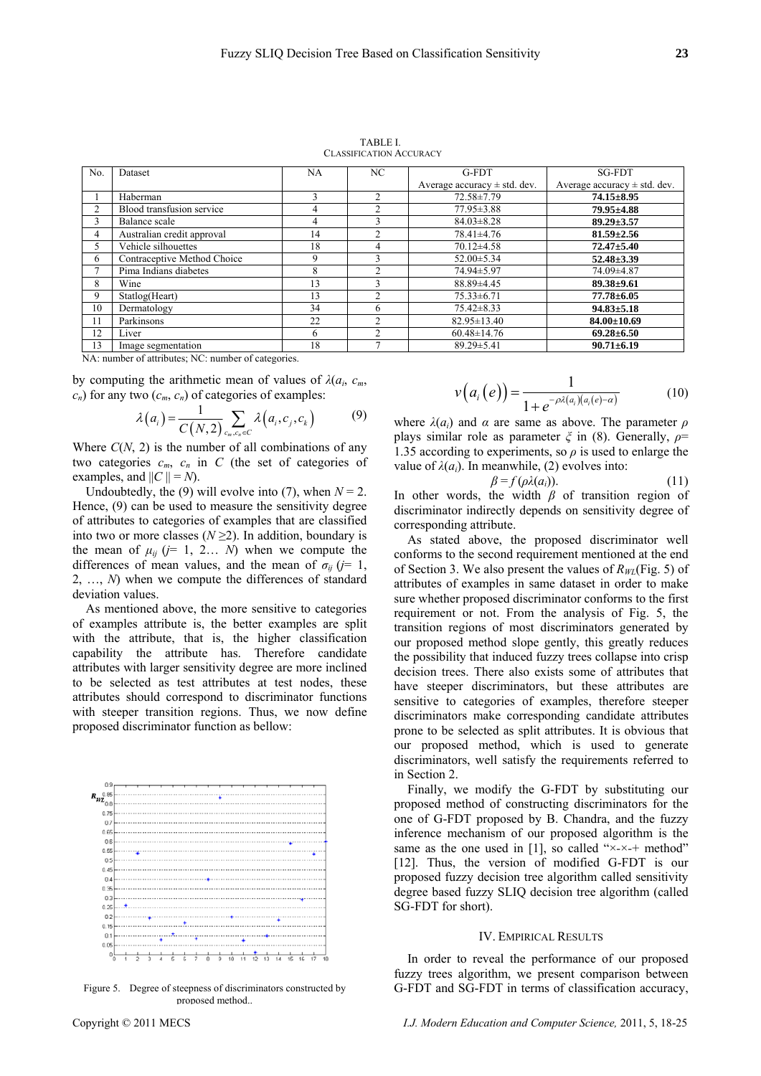TABLE I. CLASSIFICATION ACCURACY

| No.                                                                                                                                                    | Dataset                     | NA | NC.            | G-FDT                            | <b>SG-FDT</b>                    |
|--------------------------------------------------------------------------------------------------------------------------------------------------------|-----------------------------|----|----------------|----------------------------------|----------------------------------|
|                                                                                                                                                        |                             |    |                | Average accuracy $\pm$ std. dev. | Average accuracy $\pm$ std. dev. |
|                                                                                                                                                        | Haberman                    |    | $\mathfrak{D}$ | 72.58 ± 7.79                     | $74.15 \pm 8.95$                 |
| $\overline{2}$                                                                                                                                         | Blood transfusion service   | 4  |                | $77.95 \pm 3.88$                 | $79.95 \pm 4.88$                 |
| 3                                                                                                                                                      | Balance scale               | 4  |                | $84.03 \pm 8.28$                 | $89.29 \pm 3.57$                 |
| 4                                                                                                                                                      | Australian credit approval  | 14 |                | 78.41±4.76                       | $81.59 \pm 2.56$                 |
| 5                                                                                                                                                      | Vehicle silhouettes         | 18 | 4              | $70.12\pm4.58$                   | $72.47 + 5.40$                   |
| 6                                                                                                                                                      | Contraceptive Method Choice | Q  |                | $52.00 \pm 5.34$                 | $52.48 \pm 3.39$                 |
| $\overline{7}$                                                                                                                                         | Pima Indians diabetes       | 8  |                | 74.94±5.97                       | 74.09±4.87                       |
| 8                                                                                                                                                      | Wine                        | 13 |                | 88.89±4.45                       | $89.38 \pm 9.61$                 |
| 9                                                                                                                                                      | Statlog(Heart)              | 13 |                | $75.33 \pm 6.71$                 | $77.78 \pm 6.05$                 |
| 10                                                                                                                                                     | Dermatology                 | 34 | 6              | $75.42 \pm 8.33$                 | $94.83 \pm 5.18$                 |
| 11                                                                                                                                                     | Parkinsons                  | 22 |                | $82.95 \pm 13.40$                | $84.00 \pm 10.69$                |
| 12                                                                                                                                                     | Liver                       | 6  |                | $60.48 \pm 14.76$                | $69.28 \pm 6.50$                 |
| 13                                                                                                                                                     | Image segmentation          | 18 |                | $89.29 \pm 5.41$                 | $90.71 \pm 6.19$                 |
| $\mathbf{1}$ $\mathbf{0}$ $\mathbf{1}$ $\mathbf{1}$ $\mathbf{1}$ $\mathbf{1}$ $\mathbf{1}$ $\mathbf{1}$<br>$\sim$ $\sim$<br>$\mathbf{1}$<br><b>XTA</b> |                             |    |                |                                  |                                  |

NA: number of attributes; NC: number of categories.

by computing the arithmetic mean of values of  $\lambda(a_i, c_m)$ ,  $c_n$ ) for any two  $(c_m, c_n)$  of categories of examples:

$$
\lambda(a_i) = \frac{1}{C(N,2)} \sum_{c_m,c_n \in C} \lambda\big(a_i,c_j,c_k\big) \tag{9}
$$

Where  $C(N, 2)$  is the number of all combinations of any two categories  $c_m$ ,  $c_n$  in C (the set of categories of examples, and  $||C|| = N$ .

Undoubtedly, the (9) will evolve into (7), when  $N = 2$ . Hence, (9) can be used to measure the sensitivity degree of attributes to categories of examples that are classified into two or more classes ( $N \ge 2$ ). In addition, boundary is the mean of  $\mu_{ij}$  ( $j=1, 2... N$ ) when we compute the differences of mean values, and the mean of  $\sigma_{ii}$  (*j*= 1, 2, …, *N*) when we compute the differences of standard deviation values.

As mentioned above, the more sensitive to categories of examples attribute is, the better examples are split with the attribute, that is, the higher classification capability the attribute has. Therefore candidate attributes with larger sensitivity degree are more inclined to be selected as test attributes at test nodes, these attributes should correspond to discriminator functions with steeper transition regions. Thus, we now define proposed discriminator function as bellow:



Figure 5. Degree of steepness of discriminators constructed by proposed method..

$$
\nu\big(a_i\big(e\big)\big) = \frac{1}{1 + e^{-\rho\lambda(a_i)\big(a_i(e) - \alpha\big)}}\tag{10}
$$

where  $\lambda(a_i)$  and  $\alpha$  are same as above. The parameter  $\rho$ plays similar role as parameter *ξ* in (8). Generally, *ρ*= 1.35 according to experiments, so *ρ* is used to enlarge the value of  $\lambda(a_i)$ . In meanwhile, (2) evolves into:

$$
\beta = f(\rho \lambda(a_i)).\tag{11}
$$

In other words, the width *β* of transition region of discriminator indirectly depends on sensitivity degree of corresponding attribute.

As stated above, the proposed discriminator well conforms to the second requirement mentioned at the end of Section 3. We also present the values of  $R_{WI}$ (Fig. 5) of attributes of examples in same dataset in order to make sure whether proposed discriminator conforms to the first requirement or not. From the analysis of Fig. 5, the transition regions of most discriminators generated by our proposed method slope gently, this greatly reduces the possibility that induced fuzzy trees collapse into crisp decision trees. There also exists some of attributes that have steeper discriminators, but these attributes are sensitive to categories of examples, therefore steeper discriminators make corresponding candidate attributes prone to be selected as split attributes. It is obvious that our proposed method, which is used to generate discriminators, well satisfy the requirements referred to in Section 2.

Finally, we modify the G-FDT by substituting our proposed method of constructing discriminators for the one of G-FDT proposed by B. Chandra, and the fuzzy inference mechanism of our proposed algorithm is the same as the one used in [1], so called "×*-*×*-*+ method" [12]. Thus, the version of modified G-FDT is our proposed fuzzy decision tree algorithm called sensitivity degree based fuzzy SLIQ decision tree algorithm (called SG-FDT for short).

#### IV. EMPIRICAL RESULTS

In order to reveal the performance of our proposed fuzzy trees algorithm, we present comparison between G-FDT and SG-FDT in terms of classification accuracy,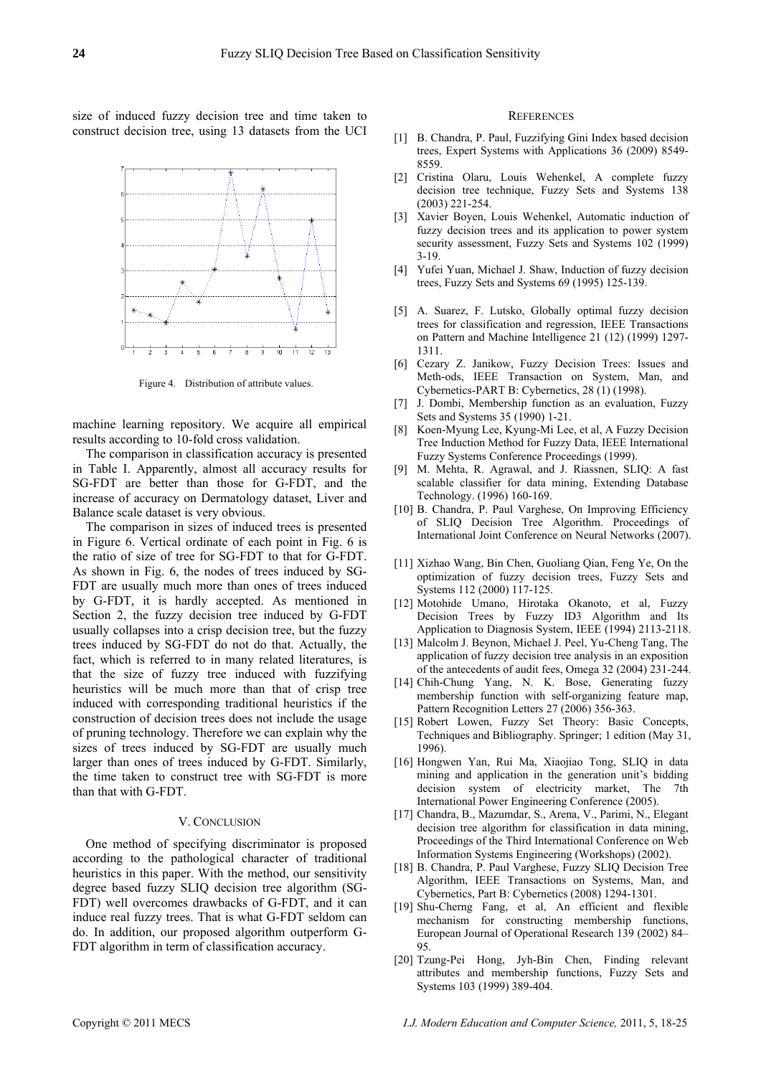size of induced fuzzy decision tree and time taken to construct decision tree, using 13 datasets from the UCI



Figure 4. Distribution of attribute values.

machine learning repository. We acquire all empirical results according to 10-fold cross validation.

The comparison in classification accuracy is presented in Table I. Apparently, almost all accuracy results for SG-FDT are better than those for G-FDT, and the increase of accuracy on Dermatology dataset, Liver and Balance scale dataset is very obvious.

The comparison in sizes of induced trees is presented in Figure 6. Vertical ordinate of each point in Fig. 6 is the ratio of size of tree for SG-FDT to that for G-FDT. As shown in Fig. 6, the nodes of trees induced by SG-FDT are usually much more than ones of trees induced by G-FDT, it is hardly accepted. As mentioned in Section 2, the fuzzy decision tree induced by G-FDT usually collapses into a crisp decision tree, but the fuzzy trees induced by SG-FDT do not do that. Actually, the fact, which is referred to in many related literatures, is that the size of fuzzy tree induced with fuzzifying heuristics will be much more than that of crisp tree induced with corresponding traditional heuristics if the construction of decision trees does not include the usage of pruning technology. Therefore we can explain why the sizes of trees induced by SG-FDT are usually much larger than ones of trees induced by G-FDT. Similarly, the time taken to construct tree with SG-FDT is more than that with G-FDT.

#### V. CONCLUSION

One method of specifying discriminator is proposed according to the pathological character of traditional heuristics in this paper. With the method, our sensitivity degree based fuzzy SLIQ decision tree algorithm (SG-FDT) well overcomes drawbacks of G-FDT, and it can induce real fuzzy trees. That is what G-FDT seldom can do. In addition, our proposed algorithm outperform G-FDT algorithm in term of classification accuracy.

#### **REFERENCES**

- [1] B. Chandra, P. Paul, Fuzzifying Gini Index based decision trees, Expert Systems with Applications 36 (2009) 8549- 8559.
- [2] Cristina Olaru, Louis Wehenkel, A complete fuzzy decision tree technique, Fuzzy Sets and Systems 138 (2003) 221-254.
- [3] Xavier Boyen, Louis Wehenkel, Automatic induction of fuzzy decision trees and its application to power system security assessment, Fuzzy Sets and Systems 102 (1999) 3-19.
- [4] Yufei Yuan, Michael J. Shaw, Induction of fuzzy decision trees, Fuzzy Sets and Systems 69 (1995) 125-139.
- [5] A. Suarez, F. Lutsko, Globally optimal fuzzy decision trees for classification and regression, IEEE Transactions on Pattern and Machine Intelligence 21 (12) (1999) 1297- 1311.
- [6] Cezary Z. Janikow, Fuzzy Decision Trees: Issues and Meth-ods, IEEE Transaction on System, Man, and Cybernetics-PART B: Cybernetics, 28 (1) (1998).
- [7] J. Dombi, Membership function as an evaluation, Fuzzy Sets and Systems 35 (1990) 1-21.
- [8] Koen-Myung Lee, Kyung-Mi Lee, et al, A Fuzzy Decision Tree Induction Method for Fuzzy Data, IEEE International Fuzzy Systems Conference Proceedings (1999).
- [9] M. Mehta, R. Agrawal, and J. Riassnen, SLIQ: A fast scalable classifier for data mining, Extending Database Technology. (1996) 160-169.
- [10] B. Chandra, P. Paul Varghese, On Improving Efficiency of SLIQ Decision Tree Algorithm. Proceedings of International Joint Conference on Neural Networks (2007).
- [11] Xizhao Wang, Bin Chen, Guoliang Qian, Feng Ye, On the optimization of fuzzy decision trees, Fuzzy Sets and Systems 112 (2000) 117-125.
- [12] Motohide Umano, Hirotaka Okanoto, et al, Fuzzy Decision Trees by Fuzzy ID3 Algorithm and Its Application to Diagnosis System, IEEE (1994) 2113-2118.
- [13] Malcolm J. Beynon, Michael J. Peel, Yu-Cheng Tang, The application of fuzzy decision tree analysis in an exposition of the antecedents of audit fees, Omega 32 (2004) 231-244.
- [14] Chih-Chung Yang, N. K. Bose, Generating fuzzy membership function with self-organizing feature map, Pattern Recognition Letters 27 (2006) 356-363.
- [15] Robert Lowen, Fuzzy Set Theory: Basic Concepts, Techniques and Bibliography. Springer; 1 edition (May 31, 1996).
- [16] Hongwen Yan, Rui Ma, Xiaojiao Tong, SLIQ in data mining and application in the generation unit's bidding decision system of electricity market, The 7th International Power Engineering Conference (2005).
- [17] Chandra, B., Mazumdar, S., Arena, V., Parimi, N., Elegant decision tree algorithm for classification in data mining, Proceedings of the Third International Conference on Web Information Systems Engineering (Workshops) (2002).
- [18] B. Chandra, P. Paul Varghese, Fuzzy SLIQ Decision Tree Algorithm, IEEE Transactions on Systems, Man, and Cybernetics, Part B: Cybernetics (2008) 1294-1301.
- [19] Shu-Cherng Fang, et al, An efficient and flexible mechanism for constructing membership functions, European Journal of Operational Research 139 (2002) 84– 95.
- [20] Tzung-Pei Hong, Jyh-Bin Chen, Finding relevant attributes and membership functions, Fuzzy Sets and Systems 103 (1999) 389-404.